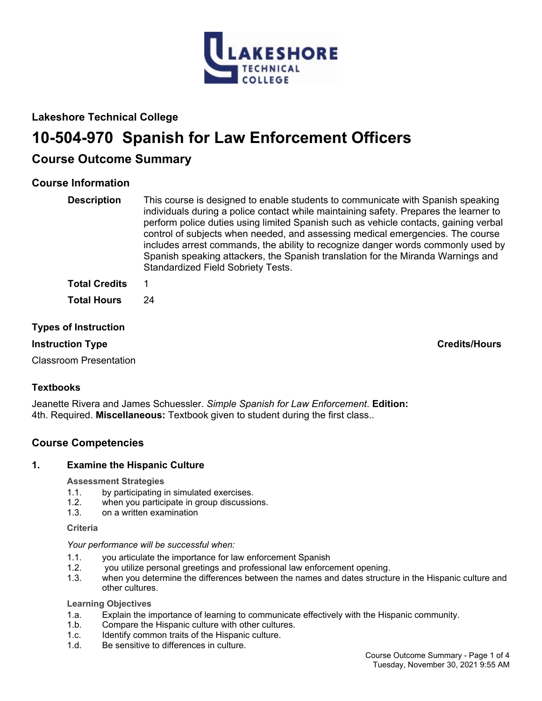

# **Lakeshore Technical College**

# **10-504-970 Spanish for Law Enforcement Officers**

# **Course Outcome Summary**

# **Course Information**

| <b>Description</b>   | This course is designed to enable students to communicate with Spanish speaking<br>individuals during a police contact while maintaining safety. Prepares the learner to<br>perform police duties using limited Spanish such as vehicle contacts, gaining verbal<br>control of subjects when needed, and assessing medical emergencies. The course<br>includes arrest commands, the ability to recognize danger words commonly used by<br>Spanish speaking attackers, the Spanish translation for the Miranda Warnings and<br><b>Standardized Field Sobriety Tests.</b> |
|----------------------|-------------------------------------------------------------------------------------------------------------------------------------------------------------------------------------------------------------------------------------------------------------------------------------------------------------------------------------------------------------------------------------------------------------------------------------------------------------------------------------------------------------------------------------------------------------------------|
| <b>Total Credits</b> |                                                                                                                                                                                                                                                                                                                                                                                                                                                                                                                                                                         |

**Total Hours** 24

# **Types of Instruction**

# **Instruction Type Credits/Hours**

Classroom Presentation

# **Textbooks**

Jeanette Rivera and James Schuessler. *Simple Spanish for Law Enforcement*. **Edition:** 4th. Required. **Miscellaneous:** Textbook given to student during the first class..

# **Course Competencies**

# **1. Examine the Hispanic Culture**

# **Assessment Strategies**

- 1.1. by participating in simulated exercises.
- 1.2. when you participate in group discussions.
- 1.3. on a written examination

# **Criteria**

# *Your performance will be successful when:*

- 1.1. you articulate the importance for law enforcement Spanish
- 1.2. you utilize personal greetings and professional law enforcement opening.
- 1.3. when you determine the differences between the names and dates structure in the Hispanic culture and other cultures.

# **Learning Objectives**

- 1.a. Explain the importance of learning to communicate effectively with the Hispanic community.
- 1.b. Compare the Hispanic culture with other cultures.
- 1.c. Identify common traits of the Hispanic culture.
- 1.d. Be sensitive to differences in culture.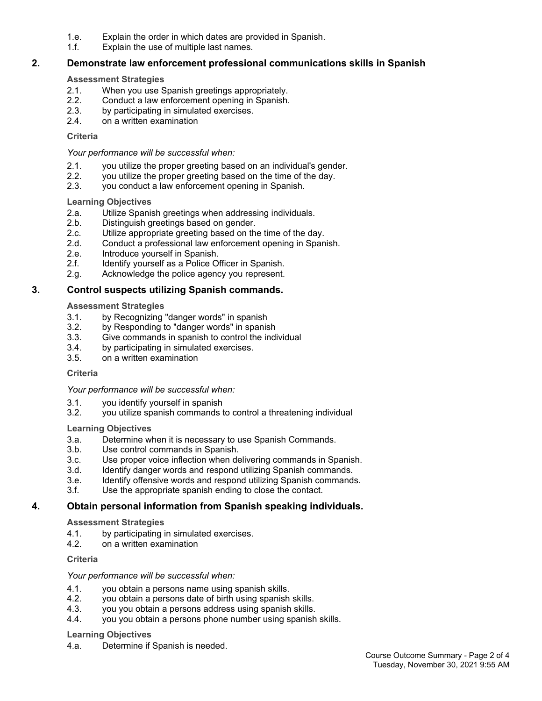- 1.e. Explain the order in which dates are provided in Spanish.
- 1.f. Explain the use of multiple last names.

# **2. Demonstrate law enforcement professional communications skills in Spanish**

### **Assessment Strategies**

- 2.1. When you use Spanish greetings appropriately.
- 2.2. Conduct a law enforcement opening in Spanish.
- 2.3. by participating in simulated exercises.
- 2.4. on a written examination

### **Criteria**

### *Your performance will be successful when:*

- 2.1. you utilize the proper greeting based on an individual's gender.
- 2.2. you utilize the proper greeting based on the time of the day.
- 2.3. you conduct a law enforcement opening in Spanish.

### **Learning Objectives**

- 2.a. Utilize Spanish greetings when addressing individuals.
- 2.b. Distinguish greetings based on gender.<br>2.c. Utilize appropriate greeting based on the
- Utilize appropriate greeting based on the time of the day.
- 2.d. Conduct a professional law enforcement opening in Spanish.
- 2.e. Introduce yourself in Spanish.
- 2.f. Identify yourself as a Police Officer in Spanish.
- 2.g. Acknowledge the police agency you represent.

# **3. Control suspects utilizing Spanish commands.**

# **Assessment Strategies**

- 3.1. by Recognizing "danger words" in spanish
- 3.2. by Responding to "danger words" in spanish
- 3.3. Give commands in spanish to control the individual
- 3.4. by participating in simulated exercises.
- 3.5. on a written examination

#### **Criteria**

# *Your performance will be successful when:*

- 3.1. you identify yourself in spanish
- 3.2. you utilize spanish commands to control a threatening individual

# **Learning Objectives**

- 3.a. Determine when it is necessary to use Spanish Commands.
- 3.b. Use control commands in Spanish.
- 3.c. Use proper voice inflection when delivering commands in Spanish.
- 3.d. Identify danger words and respond utilizing Spanish commands.
- 3.e. Identify offensive words and respond utilizing Spanish commands.
- 3.f. Use the appropriate spanish ending to close the contact.

# **4. Obtain personal information from Spanish speaking individuals.**

#### **Assessment Strategies**

- 4.1. by participating in simulated exercises.
- 4.2. on a written examination

# **Criteria**

# *Your performance will be successful when:*

- 4.1. you obtain a persons name using spanish skills.
- 4.2. you obtain a persons date of birth using spanish skills.<br>4.3. vou vou obtain a persons address using spanish skills.
- you you obtain a persons address using spanish skills.
- 4.4. you you obtain a persons phone number using spanish skills.

#### **Learning Objectives**

4.a. Determine if Spanish is needed.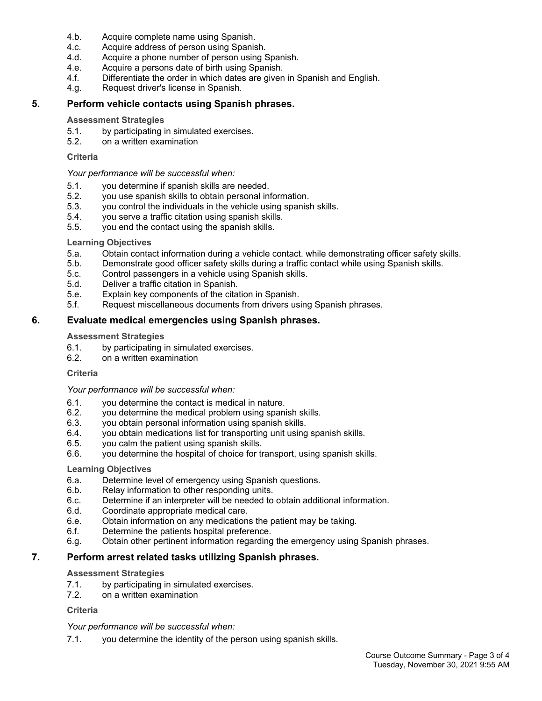- 4.b. Acquire complete name using Spanish.
- 4.c. Acquire address of person using Spanish.
- 4.d. Acquire a phone number of person using Spanish.
- 4.e. Acquire a persons date of birth using Spanish.
- 4.f. Differentiate the order in which dates are given in Spanish and English.
- 4.g. Request driver's license in Spanish.

# **5. Perform vehicle contacts using Spanish phrases.**

#### **Assessment Strategies**

- 5.1. by participating in simulated exercises.
- 5.2. on a written examination

#### **Criteria**

#### *Your performance will be successful when:*

- 5.1. you determine if spanish skills are needed.
- 5.2. you use spanish skills to obtain personal information.
- 5.3. you control the individuals in the vehicle using spanish skills.
- 5.4. you serve a traffic citation using spanish skills.
- 5.5. you end the contact using the spanish skills.

### **Learning Objectives**

- 5.a. Obtain contact information during a vehicle contact. while demonstrating officer safety skills.
- 5.b. Demonstrate good officer safety skills during a traffic contact while using Spanish skills.
- 5.c. Control passengers in a vehicle using Spanish skills.
- 5.d. Deliver a traffic citation in Spanish.
- 5.e. Explain key components of the citation in Spanish.
- 5.f. Request miscellaneous documents from drivers using Spanish phrases.

# **6. Evaluate medical emergencies using Spanish phrases.**

### **Assessment Strategies**

- 6.1. by participating in simulated exercises.
- 6.2. on a written examination

#### **Criteria**

#### *Your performance will be successful when:*

- 6.1. you determine the contact is medical in nature.
- 6.2. you determine the medical problem using spanish skills.
- 6.3. you obtain personal information using spanish skills.
- 6.4. you obtain medications list for transporting unit using spanish skills.
- 6.5. you calm the patient using spanish skills.
- 6.6. you determine the hospital of choice for transport, using spanish skills.

#### **Learning Objectives**

- 6.a. Determine level of emergency using Spanish questions.
- 6.b. Relay information to other responding units.
- 6.c. Determine if an interpreter will be needed to obtain additional information.
- 6.d. Coordinate appropriate medical care.
- 6.e. Obtain information on any medications the patient may be taking.
- 6.f. Determine the patients hospital preference.
- 6.g. Obtain other pertinent information regarding the emergency using Spanish phrases.

# **7. Perform arrest related tasks utilizing Spanish phrases.**

#### **Assessment Strategies**

- 7.1. by participating in simulated exercises.
- 7.2. on a written examination

# **Criteria**

#### *Your performance will be successful when:*

7.1. you determine the identity of the person using spanish skills.